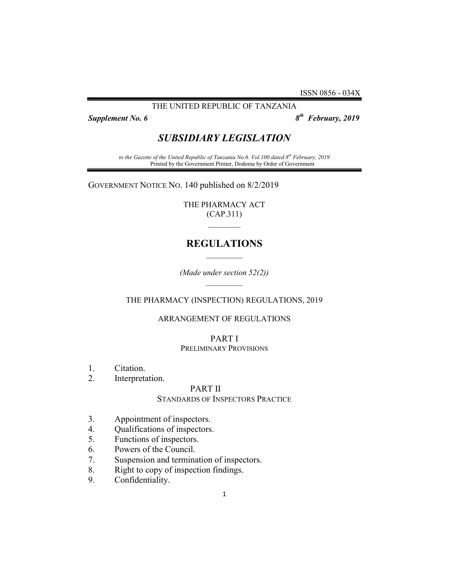ISSN 0856 - 034X

## THE UNITED REPUBLIC OF TANZANIA

Supplement No. 6

 $8<sup>th</sup>$  February, 2019

# SUBSIDIARY LEGISLATION

to the Gazette of the United Republic of Tanzania No.6. Vol.100 dated 8<sup>th</sup> February, 2019 Printed by the Government Printer, Dodoma by Order of Government

GOVERNMENT NOTICE NO. 140 published on 8/2/2019

THE PHARMACY ACT (CAP.311)  $\frac{1}{2}$ 

# REGULATIONS  $\mathcal{L}_\text{max}$

(Made under section 52(2))  $\mathcal{L}_\text{max}$ 

THE PHARMACY (INSPECTION) REGULATIONS, 2019

# ARRANGEMENT OF REGULATIONS

# PART I

## PRELIMINARY PROVISIONS

- 1. Citation.
- 2. Interpretation.

## PART II

## STANDARDS OF INSPECTORS PRACTICE

- 3. Appointment of inspectors.
- 4. Qualifications of inspectors.
- 5. Functions of inspectors.
- 6. Powers of the Council.
- 7. Suspension and termination of inspectors.
- 8. Right to copy of inspection findings.
- 9. Confidentiality.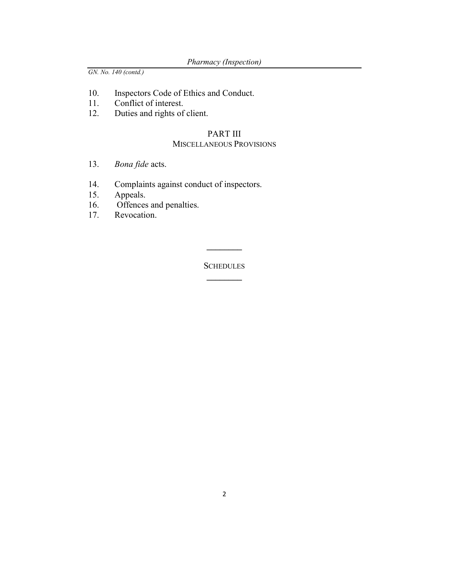- 10. Inspectors Code of Ethics and Conduct.
- 11. Conflict of interest.
- 12. Duties and rights of client.

# PART III

# MISCELLANEOUS PROVISIONS

- 13. *Bona fide* acts.
- 14. Complaints against conduct of inspectors.<br>15. Appeals.
- Appeals.
- 16. Offences and penalties.
- 17. Revocation.

**SCHEDULES**  $\frac{1}{2}$ 

 $\frac{1}{2}$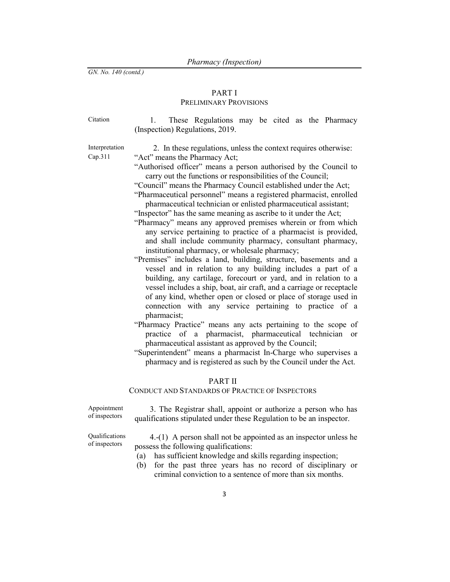# PART I

# PRELIMINARY PROVISIONS

| Citation                  | These Regulations may be cited as the Pharmacy<br>(Inspection) Regulations, 2019.                                                                                                                                                                                                                                                                                                                                                                                                                                                                                                                                                                                                                                                                                                                                                                                                                                                                                                                                                                                                                                                                                                                                                                                                                                                                                                                                                                                                                                                          |
|---------------------------|--------------------------------------------------------------------------------------------------------------------------------------------------------------------------------------------------------------------------------------------------------------------------------------------------------------------------------------------------------------------------------------------------------------------------------------------------------------------------------------------------------------------------------------------------------------------------------------------------------------------------------------------------------------------------------------------------------------------------------------------------------------------------------------------------------------------------------------------------------------------------------------------------------------------------------------------------------------------------------------------------------------------------------------------------------------------------------------------------------------------------------------------------------------------------------------------------------------------------------------------------------------------------------------------------------------------------------------------------------------------------------------------------------------------------------------------------------------------------------------------------------------------------------------------|
| Interpretation<br>Cap.311 | 2. In these regulations, unless the context requires otherwise:<br>"Act" means the Pharmacy Act;<br>"Authorised officer" means a person authorised by the Council to<br>carry out the functions or responsibilities of the Council;<br>"Council" means the Pharmacy Council established under the Act;<br>"Pharmaceutical personnel" means a registered pharmacist, enrolled<br>pharmaceutical technician or enlisted pharmaceutical assistant;<br>"Inspector" has the same meaning as ascribe to it under the Act;<br>"Pharmacy" means any approved premises wherein or from which<br>any service pertaining to practice of a pharmacist is provided,<br>and shall include community pharmacy, consultant pharmacy,<br>institutional pharmacy, or wholesale pharmacy;<br>"Premises" includes a land, building, structure, basements and a<br>vessel and in relation to any building includes a part of a<br>building, any cartilage, forecourt or yard, and in relation to a<br>vessel includes a ship, boat, air craft, and a carriage or receptacle<br>of any kind, whether open or closed or place of storage used in<br>connection with any service pertaining to practice of a<br>pharmacist;<br>"Pharmacy Practice" means any acts pertaining to the scope of<br>practice of a pharmacist, pharmaceutical technician<br><sub>or</sub><br>pharmaceutical assistant as approved by the Council;<br>"Superintendent" means a pharmacist In-Charge who supervises a<br>pharmacy and is registered as such by the Council under the Act. |
|                           |                                                                                                                                                                                                                                                                                                                                                                                                                                                                                                                                                                                                                                                                                                                                                                                                                                                                                                                                                                                                                                                                                                                                                                                                                                                                                                                                                                                                                                                                                                                                            |

# PART II

## CONDUCT AND STANDARDS OF PRACTICE OF INSPECTORS

Appointment of inspectors

3. The Registrar shall, appoint or authorize a person who has qualifications stipulated under these Regulation to be an inspector.

Qualifications of inspectors

4.-(1) A person shall not be appointed as an inspector unless he possess the following qualifications:

- (a) has sufficient knowledge and skills regarding inspection;
- (b) for the past three years has no record of disciplinary or criminal conviction to a sentence of more than six months.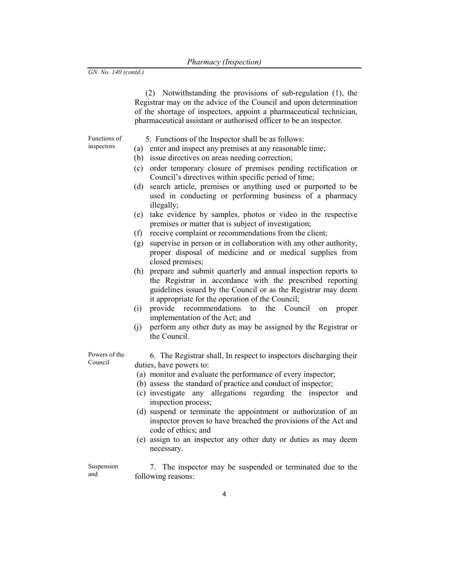(2) Notwithstanding the provisions of sub-regulation (1), the Registrar may on the advice of the Council and upon determination of the shortage of inspectors, appoint a pharmaceutical technician, pharmaceutical assistant or authorised officer to be an inspector.

Functions of inspectors

- 5. Functions of the Inspector shall be as follows:
- (a) enter and inspect any premises at any reasonable time;
- (b) issue directives on areas needing correction;
- (c) order temporary closure of premises pending rectification or Council's directives within specific period of time;
- (d) search article, premises or anything used or purported to be used in conducting or performing business of a pharmacy illegally;
- (e) take evidence by samples, photos or video in the respective premises or matter that is subject of investigation;
- (f) receive complaint or recommendations from the client;
- (g) supervise in person or in collaboration with any other authority, proper disposal of medicine and or medical supplies from closed premises;
- (h) prepare and submit quarterly and annual inspection reports to the Registrar in accordance with the prescribed reporting guidelines issued by the Council or as the Registrar may deem it appropriate for the operation of the Council;
- (i) provide recommendations to the Council on proper implementation of the Act; and
- (j) perform any other duty as may be assigned by the Registrar or the Council.

Powers of the Council

- 6. The Registrar shall, In respect to inspectors discharging their duties, have powers to:
	- (a) monitor and evaluate the performance of every inspector;
	- (b) assess the standard of practice and conduct of inspector;
	- (c) investigate any allegations regarding the inspector and inspection process;
	- (d) suspend or terminate the appointment or authorization of an inspector proven to have breached the provisions of the Act and code of ethics; and
	- (e) assign to an inspector any other duty or duties as may deem necessary.

Suspension and 7. The inspector may be suspended or terminated due to the following reasons: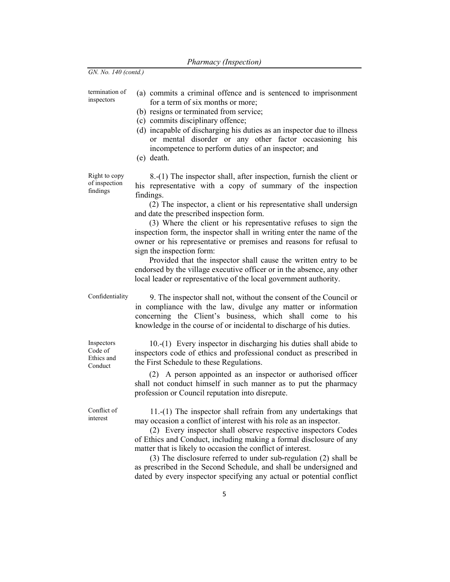termination of inspectors (a) commits a criminal offence and is sentenced to imprisonment for a term of six months or more;

- (b) resigns or terminated from service;
- (c) commits disciplinary offence;
- (d) incapable of discharging his duties as an inspector due to illness or mental disorder or any other factor occasioning his incompetence to perform duties of an inspector; and
- (e) death.

Right to copy of inspection findings

8.-(1) The inspector shall, after inspection, furnish the client or his representative with a copy of summary of the inspection findings.

(2) The inspector, a client or his representative shall undersign and date the prescribed inspection form.

(3) Where the client or his representative refuses to sign the inspection form, the inspector shall in writing enter the name of the owner or his representative or premises and reasons for refusal to sign the inspection form:

Provided that the inspector shall cause the written entry to be endorsed by the village executive officer or in the absence, any other local leader or representative of the local government authority.

Confidentiality 9. The inspector shall not, without the consent of the Council or

Inspectors Code of Ethics and Conduct

knowledge in the course of or incidental to discharge of his duties. 10.-(1) Every inspector in discharging his duties shall abide to inspectors code of ethics and professional conduct as prescribed in

in compliance with the law, divulge any matter or information concerning the Client's business, which shall come to his

(2) A person appointed as an inspector or authorised officer shall not conduct himself in such manner as to put the pharmacy profession or Council reputation into disrepute.

the First Schedule to these Regulations.

Conflict of interest

11.-(1) The inspector shall refrain from any undertakings that may occasion a conflict of interest with his role as an inspector.

(2) Every inspector shall observe respective inspectors Codes of Ethics and Conduct, including making a formal disclosure of any matter that is likely to occasion the conflict of interest.

(3) The disclosure referred to under sub-regulation (2) shall be as prescribed in the Second Schedule, and shall be undersigned and dated by every inspector specifying any actual or potential conflict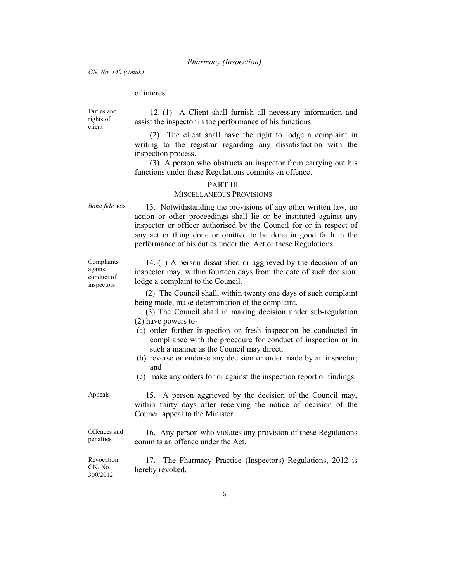## of interest.

Duties and rights of client

12.-(1) A Client shall furnish all necessary information and assist the inspector in the performance of his functions.

(2) The client shall have the right to lodge a complaint in writing to the registrar regarding any dissatisfaction with the inspection process.

(3) A person who obstructs an inspector from carrying out his functions under these Regulations commits an offence.

### PART III

## MISCELLANEOUS PROVISIONS

Complaints against conduct of inspectors

Bona fide acts 13. Notwithstanding the provisions of any other written law, no action or other proceedings shall lie or be instituted against any inspector or officer authorised by the Council for or in respect of any act or thing done or omitted to be done in good faith in the performance of his duties under the Act or these Regulations.

> 14.-(1) A person dissatisfied or aggrieved by the decision of an inspector may, within fourteen days from the date of such decision, lodge a complaint to the Council.

(2) The Council shall, within twenty one days of such complaint being made, make determination of the complaint.

(3) The Council shall in making decision under sub-regulation (2) have powers to-

- (a) order further inspection or fresh inspection be conducted in compliance with the procedure for conduct of inspection or in such a manner as the Council may direct;
- (b) reverse or endorse any decision or order made by an inspector; and
- (c) make any orders for or against the inspection report or findings.

Appeals 15. A person aggrieved by the decision of the Council may, within thirty days after receiving the notice of decision of the Council appeal to the Minister.

Offences and penalties 16. Any person who violates any provision of these Regulations commits an offence under the Act.

Revocation GN. No. 300/2012 17. The Pharmacy Practice (Inspectors) Regulations, 2012 is hereby revoked.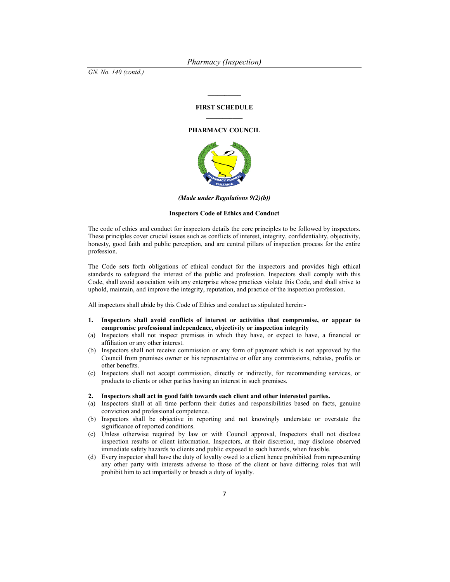#### FIRST SCHEDULE

 $\frac{1}{2}$ 

#### PHARMACY COUNCIL



(Made under Regulations 9(2)(b))

#### Inspectors Code of Ethics and Conduct

The code of ethics and conduct for inspectors details the core principles to be followed by inspectors. These principles cover crucial issues such as conflicts of interest, integrity, confidentiality, objectivity, honesty, good faith and public perception, and are central pillars of inspection process for the entire profession.

The Code sets forth obligations of ethical conduct for the inspectors and provides high ethical standards to safeguard the interest of the public and profession. Inspectors shall comply with this Code, shall avoid association with any enterprise whose practices violate this Code, and shall strive to uphold, maintain, and improve the integrity, reputation, and practice of the inspection profession.

All inspectors shall abide by this Code of Ethics and conduct as stipulated herein:-

- 1. Inspectors shall avoid conflicts of interest or activities that compromise, or appear to compromise professional independence, objectivity or inspection integrity
- (a) Inspectors shall not inspect premises in which they have, or expect to have, a financial or affiliation or any other interest.
- (b) Inspectors shall not receive commission or any form of payment which is not approved by the Council from premises owner or his representative or offer any commissions, rebates, profits or other benefits.
- (c) Inspectors shall not accept commission, directly or indirectly, for recommending services, or products to clients or other parties having an interest in such premises.

#### 2. Inspectors shall act in good faith towards each client and other interested parties.

- (a) Inspectors shall at all time perform their duties and responsibilities based on facts, genuine conviction and professional competence.
- (b) Inspectors shall be objective in reporting and not knowingly understate or overstate the significance of reported conditions.
- (c) Unless otherwise required by law or with Council approval, Inspectors shall not disclose inspection results or client information. Inspectors, at their discretion, may disclose observed immediate safety hazards to clients and public exposed to such hazards, when feasible.
- (d) Every inspector shall have the duty of loyalty owed to a client hence prohibited from representing any other party with interests adverse to those of the client or have differing roles that will prohibit him to act impartially or breach a duty of loyalty.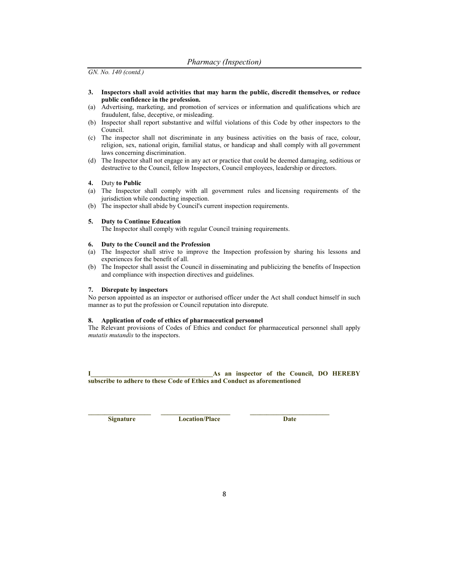- 3. Inspectors shall avoid activities that may harm the public, discredit themselves, or reduce public confidence in the profession.
- (a) Advertising, marketing, and promotion of services or information and qualifications which are fraudulent, false, deceptive, or misleading.
- (b) Inspector shall report substantive and wilful violations of this Code by other inspectors to the Council.
- (c) The inspector shall not discriminate in any business activities on the basis of race, colour, religion, sex, national origin, familial status, or handicap and shall comply with all government laws concerning discrimination.
- (d) The Inspector shall not engage in any act or practice that could be deemed damaging, seditious or destructive to the Council, fellow Inspectors, Council employees, leadership or directors.

#### 4. Duty to Public

- (a) The Inspector shall comply with all government rules and licensing requirements of the jurisdiction while conducting inspection.
- (b) The inspector shall abide by Council's current inspection requirements.

#### 5. Duty to Continue Education

The Inspector shall comply with regular Council training requirements.

#### 6. Duty to the Council and the Profession

- (a) The Inspector shall strive to improve the Inspection profession by sharing his lessons and experiences for the benefit of all.
- (b) The Inspector shall assist the Council in disseminating and publicizing the benefits of Inspection and compliance with inspection directives and guidelines.

#### 7. Disrepute by inspectors

No person appointed as an inspector or authorised officer under the Act shall conduct himself in such manner as to put the profession or Council reputation into disrepute.

#### 8. Application of code of ethics of pharmaceutical personnel

The Relevant provisions of Codes of Ethics and conduct for pharmaceutical personnel shall apply mutatis mutandis to the inspectors.

#### I\_\_\_\_\_\_\_\_\_\_\_\_\_\_\_\_\_\_\_\_\_\_\_\_\_\_\_\_\_\_\_\_\_\_\_\_\_As an inspector of the Council, DO HEREBY subscribe to adhere to these Code of Ethics and Conduct as aforementioned

Signature Location/Place Date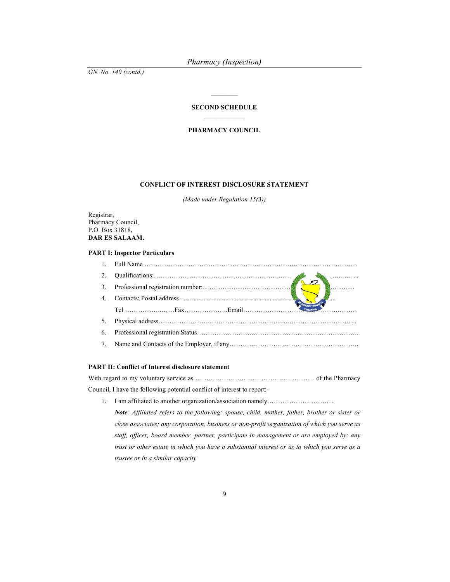#### SECOND SCHEDULE  $\mathcal{L}_\text{max}$

#### PHARMACY COUNCIL

#### CONFLICT OF INTEREST DISCLOSURE STATEMENT

(Made under Regulation 15(3))

Registrar, Pharmacy Council, P.O. Box 31818, DAR ES SALAAM.

#### PART I: Inspector Particulars

| 2.             |           |
|----------------|-----------|
| 3.             |           |
| 4 <sub>1</sub> | $\ddotsc$ |
|                |           |
|                | TANZANIA  |
|                |           |
| 5.<br>6.       |           |

#### PART II: Conflict of Interest disclosure statement

With regard to my voluntary service as ……………………………………………… of the Pharmacy Council, I have the following potential conflict of interest to report:-

1. I am affiliated to another organization/association namely………………………… Note: Affiliated refers to the following: spouse, child, mother, father, brother or sister or close associates; any corporation, business or non-profit organization of which you serve as staff, officer, board member, partner, participate in management or are employed by; any trust or other estate in which you have a substantial interest or as to which you serve as a trustee or in a similar capacity